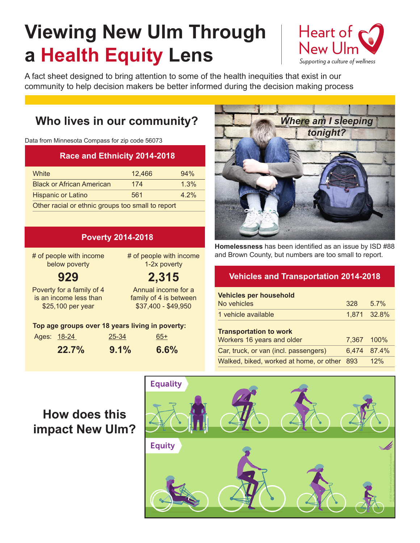# **Viewing New Ulm Through a Health Equity Lens**



A fact sheet designed to bring attention to some of the health inequities that exist in our community to help decision makers be better informed during the decision making process

# **Who lives in our community?**

Data from Minnesota Compass for zip code 56073

#### **Race and Ethnicity 2014-2018**

| White                                             | 12.466 | 94%     |  |
|---------------------------------------------------|--------|---------|--|
| <b>Black or African American</b>                  | 174    | 1.3%    |  |
| <b>Hispanic or Latino</b>                         | 561    | $4.2\%$ |  |
| Other racial or ethnic groups too small to report |        |         |  |

**Poverty 2014-2018**

| I UYULIY AVITAVIV                                                        |         |                                                                      |  |  |
|--------------------------------------------------------------------------|---------|----------------------------------------------------------------------|--|--|
| # of people with income<br>below poverty                                 |         | # of people with income<br>1-2x poverty                              |  |  |
| 929                                                                      |         | 2,315                                                                |  |  |
| Poverty for a family of 4<br>is an income less than<br>\$25,100 per year |         | Annual income for a<br>family of 4 is between<br>\$37,400 - \$49,950 |  |  |
| Top age groups over 18 years living in poverty:                          |         |                                                                      |  |  |
| Ages: 18-24                                                              | 25-34   | 65+                                                                  |  |  |
| 22.7%                                                                    | $9.1\%$ | $6.6\%$                                                              |  |  |



**Homelessness** has been identified as an issue by ISD #88 and Brown County, but numbers are too small to report.

#### **Vehicles and Transportation 2014-2018**

| <b>Vehicles per household</b><br>No vehicles                | 328   | $5.7\%$     |
|-------------------------------------------------------------|-------|-------------|
| 1 vehicle available                                         |       | 1,871 32.8% |
| <b>Transportation to work</b><br>Workers 16 years and older | 7.367 | $100\%$     |
| Car, truck, or van (incl. passengers)                       | 6.474 | 87.4%       |
| Walked, biked, worked at home, or other                     | 893   | 12%         |

## **How does this impact New Ulm?**